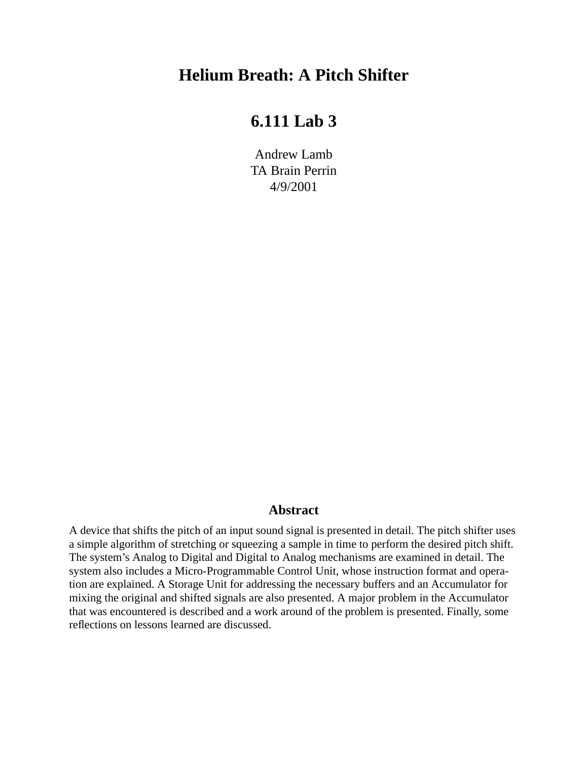# **Helium Breath: A Pitch Shifter**

# **6.111 Lab 3**

Andrew Lamb TA Brain Perrin 4/9/2001

### **Abstract**

<span id="page-0-0"></span>A device that shifts the pitch of an input sound signal is presented in detail. The pitch shifter uses a simple algorithm of stretching or squeezing a sample in time to perform the desired pitch shift. The system's Analog to Digital and Digital to Analog mechanisms are examined in detail. The system also includes a Micro-Programmable Control Unit, whose instruction format and operation are explained. A Storage Unit for addressing the necessary buffers and an Accumulator for mixing the original and shifted signals are also presented. A major problem in the Accumulator that was encountered is described and a work around of the problem is presented. Finally, some reflections on lessons learned are discussed.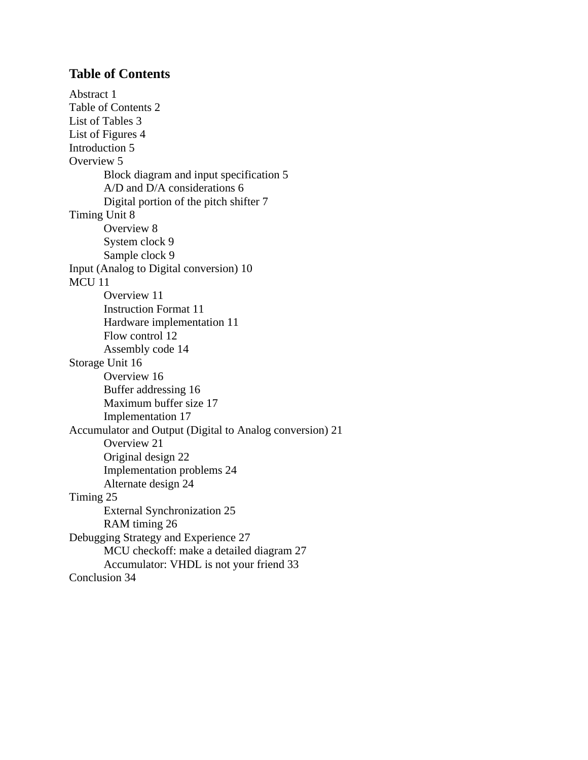# <span id="page-1-0"></span>**[Table of Contents](#page-0-0)**

[Abstract 1](#page-0-0) [Table of Contents 2](#page-1-0) [List of Tables 3](#page-2-0) [List of Figures 4](#page-3-0) [Introduction 5](#page-4-0) [Overview 5](#page-4-1) [Block diagram and input specification 5](#page-4-2) [A/D and D/A considerations 6](#page-5-0) [Digital portion of the pitch shifter 7](#page-6-0) [Timing Unit 8](#page-7-0) [Overview 8](#page-7-1) [System clock 9](#page-8-0) [Sample clock 9](#page-8-1) [Input \(Analog to Digital conversion\) 10](#page-9-0) [MCU 11](#page-10-0) [Overview 11](#page-10-1) [Instruction Format 11](#page-10-2) [Hardware implementation 11](#page-10-3) [Flow control 12](#page-11-0) [Assembly code 14](#page-13-0) [Storage Unit 16](#page-15-0) [Overview 16](#page-15-1) [Buffer addressing 16](#page-15-2) [Maximum buffer size 17](#page-16-0) [Implementation 17](#page-16-1) [Accumulator and Output \(Digital to Analog conversion\) 21](#page-20-0) [Overview 21](#page-20-1) [Original design 22](#page-21-0) [Implementation problems 24](#page-23-0) [Alternate design 24](#page-23-1) [Timing 25](#page-24-0) [External Synchronization 25](#page-24-1) [RAM timing 26](#page-25-0) [Debugging Strategy and Experience 27](#page-26-0) [MCU checkoff: make a detailed diagram 27](#page-26-1) [Accumulator: VHDL is not your friend 33](#page-32-0) [Conclusion 34](#page-33-0)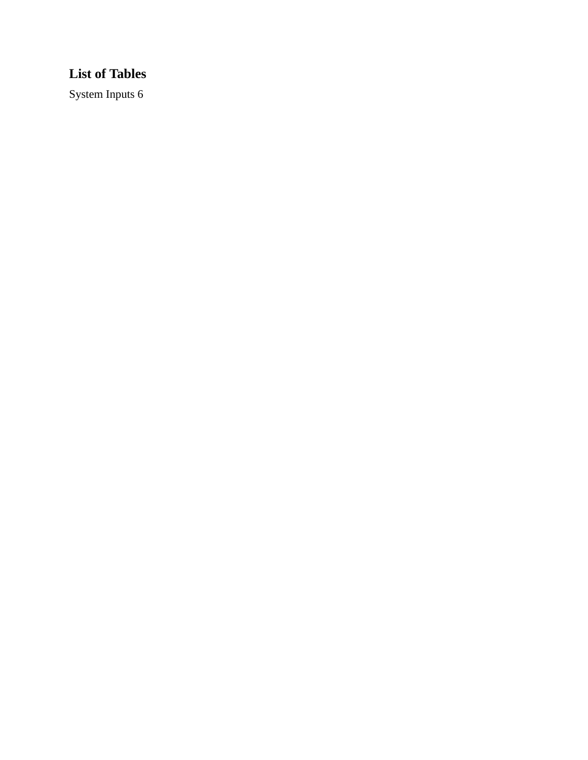# <span id="page-2-0"></span>**List of Tables**

[System Inputs 6](#page-5-1)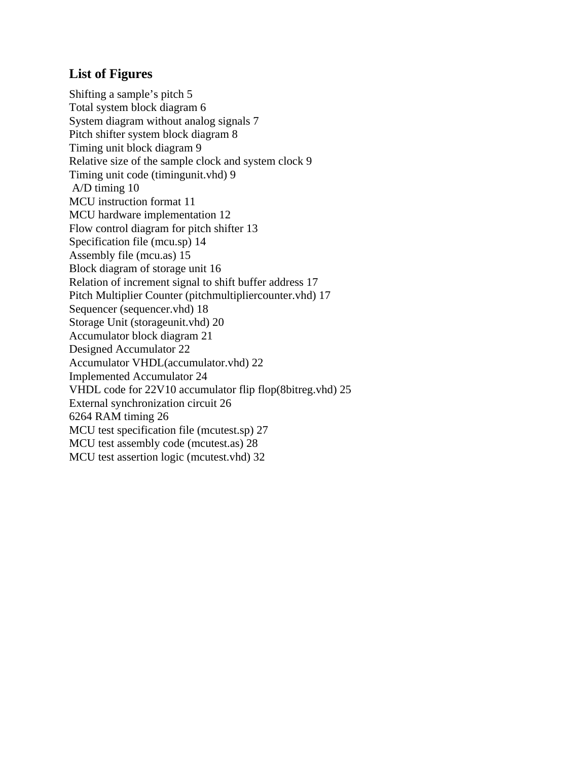# <span id="page-3-0"></span>**[List of Figures](#page-4-3)**

[Shifting a sample's pitch 5](#page-4-3) [Total system block diagram 6](#page-5-2) [System diagram without analog signals 7](#page-6-1) [Pitch shifter system block diagram 8](#page-7-2) [Timing unit block diagram 9](#page-8-2) [Relative size of the sample clock and system clock 9](#page-8-3) [Timing unit code \(timingunit.vhd\) 9](#page-8-4)  [A/D timing 10](#page-9-1) [MCU instruction format 11](#page-10-4) [MCU hardware implementation 12](#page-11-1) [Flow control diagram for pitch shifter 13](#page-12-0) [Specification file \(mcu.sp\) 14](#page-13-1) [Assembly file \(mcu.as\) 15](#page-14-0) [Block diagram of storage unit 16](#page-15-3) [Relation of increment signal to shift buffer address 17](#page-16-2) [Pitch Multiplier Counter \(pitchmultipliercounter.vhd\) 17](#page-16-3) [Sequencer \(sequencer.vhd\) 18](#page-17-0) [Storage Unit \(storageunit.vhd\) 20](#page-19-0) [Accumulator block diagram 21](#page-20-2) [Designed Accumulator 22](#page-21-1) [Accumulator VHDL\(accumulator.vhd\) 22](#page-21-2) [Implemented Accumulator 24](#page-23-2) [VHDL code for 22V10 accumulator flip flop\(8bitreg.vhd\) 25](#page-24-2) [External synchronization circuit 26](#page-25-1) [6264 RAM timing 26](#page-25-2) [MCU test specification file \(mcutest.sp\) 27](#page-26-2) [MCU test assembly code \(mcutest.as\) 28](#page-27-0) [MCU test assertion logic \(mcutest.vhd\) 32](#page-31-0)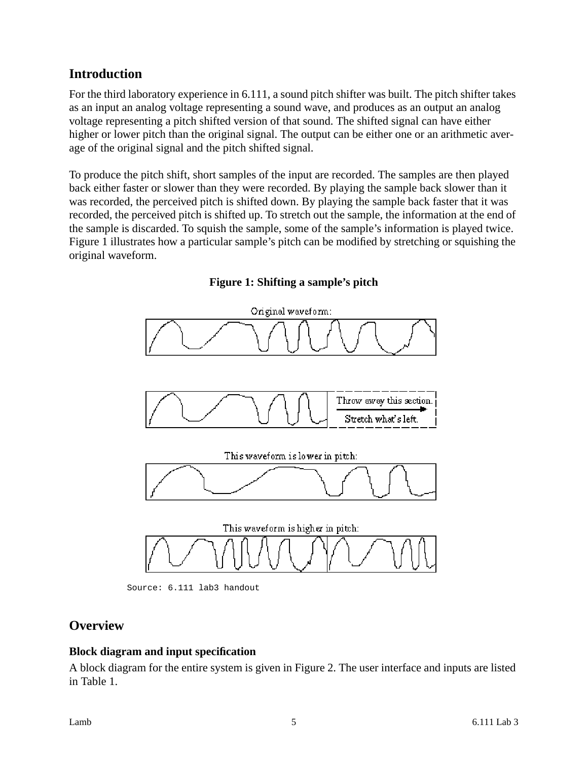# <span id="page-4-0"></span>**Introduction**

For the third laboratory experience in 6.111, a sound pitch shifter was built. The pitch shifter takes as an input an analog voltage representing a sound wave, and produces as an output an analog voltage representing a pitch shifted version of that sound. The shifted signal can have either higher or lower pitch than the original signal. The output can be either one or an arithmetic average of the original signal and the pitch shifted signal.

To produce the pitch shift, short samples of the input are recorded. The samples are then played back either faster or slower than they were recorded. By playing the sample back slower than it was recorded, the perceived pitch is shifted down. By playing the sample back faster that it was recorded, the perceived pitch is shifted up. To stretch out the sample, the information at the end of the sample is discarded. To squish the sample, some of the sample's information is played twice. Figure 1 illustrates how a particular sample's pitch can be modified by stretching or squishing the original waveform.

<span id="page-4-3"></span>

**Figure 1: Shifting a sample's pitch**

Source: 6.111 lab3 handout

# <span id="page-4-1"></span>**Overview**

### <span id="page-4-2"></span>**Block diagram and input specification**

A block diagram for the entire system is given in Figure 2. The user interface and inputs are listed in Table 1.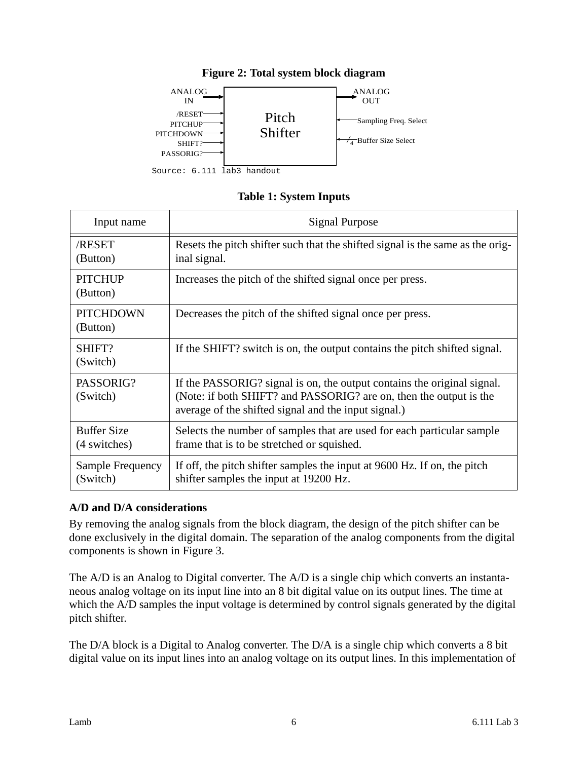<span id="page-5-2"></span>

# **Figure 2: Total system block diagram**

## **Table 1: System Inputs**

<span id="page-5-1"></span>

| Input name                         | Signal Purpose                                                                                                                                                                                        |  |  |
|------------------------------------|-------------------------------------------------------------------------------------------------------------------------------------------------------------------------------------------------------|--|--|
| /RESET<br>(Button)                 | Resets the pitch shifter such that the shifted signal is the same as the orig-<br>inal signal.                                                                                                        |  |  |
| <b>PITCHUP</b><br>(Button)         | Increases the pitch of the shifted signal once per press.                                                                                                                                             |  |  |
| <b>PITCHDOWN</b><br>(Button)       | Decreases the pitch of the shifted signal once per press.                                                                                                                                             |  |  |
| SHIFT?<br>(Switch)                 | If the SHIFT? switch is on, the output contains the pitch shifted signal.                                                                                                                             |  |  |
| PASSORIG?<br>(Switch)              | If the PASSORIG? signal is on, the output contains the original signal.<br>(Note: if both SHIFT? and PASSORIG? are on, then the output is the<br>average of the shifted signal and the input signal.) |  |  |
| <b>Buffer Size</b><br>(4 switches) | Selects the number of samples that are used for each particular sample<br>frame that is to be stretched or squished.                                                                                  |  |  |
| Sample Frequency<br>(Switch)       | If off, the pitch shifter samples the input at 9600 Hz. If on, the pitch<br>shifter samples the input at 19200 Hz.                                                                                    |  |  |

### <span id="page-5-0"></span>**A/D and D/A considerations**

By removing the analog signals from the block diagram, the design of the pitch shifter can be done exclusively in the digital domain. The separation of the analog components from the digital components is shown in Figure 3.

The A/D is an Analog to Digital converter. The A/D is a single chip which converts an instantaneous analog voltage on its input line into an 8 bit digital value on its output lines. The time at which the A/D samples the input voltage is determined by control signals generated by the digital pitch shifter.

The D/A block is a Digital to Analog converter. The D/A is a single chip which converts a 8 bit digital value on its input lines into an analog voltage on its output lines. In this implementation of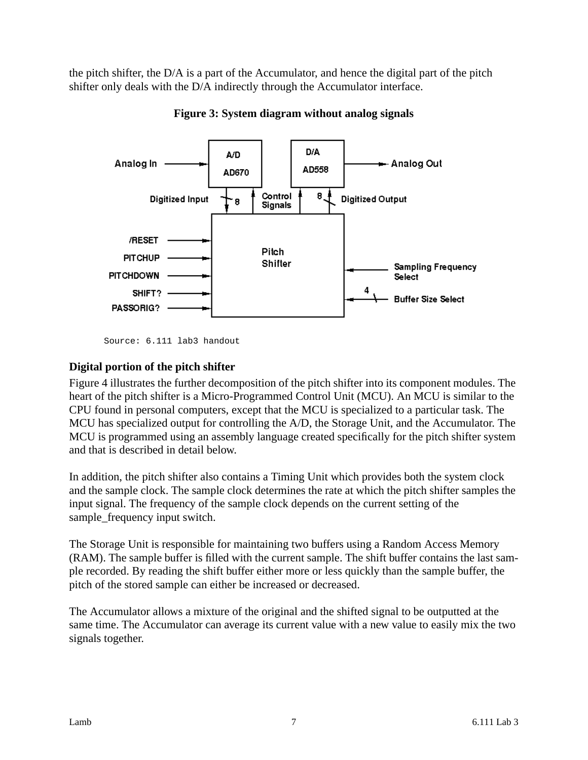the pitch shifter, the D/A is a part of the Accumulator, and hence the digital part of the pitch shifter only deals with the D/A indirectly through the Accumulator interface.

<span id="page-6-1"></span>

**Figure 3: System diagram without analog signals**

## <span id="page-6-0"></span>**Digital portion of the pitch shifter**

Figure 4 illustrates the further decomposition of the pitch shifter into its component modules. The heart of the pitch shifter is a Micro-Programmed Control Unit (MCU). An MCU is similar to the CPU found in personal computers, except that the MCU is specialized to a particular task. The MCU has specialized output for controlling the A/D, the Storage Unit, and the Accumulator. The MCU is programmed using an assembly language created specifically for the pitch shifter system and that is described in detail below.

In addition, the pitch shifter also contains a Timing Unit which provides both the system clock and the sample clock. The sample clock determines the rate at which the pitch shifter samples the input signal. The frequency of the sample clock depends on the current setting of the sample\_frequency input switch.

The Storage Unit is responsible for maintaining two buffers using a Random Access Memory (RAM). The sample buffer is filled with the current sample. The shift buffer contains the last sample recorded. By reading the shift buffer either more or less quickly than the sample buffer, the pitch of the stored sample can either be increased or decreased.

The Accumulator allows a mixture of the original and the shifted signal to be outputted at the same time. The Accumulator can average its current value with a new value to easily mix the two signals together.

Source: 6.111 lab3 handout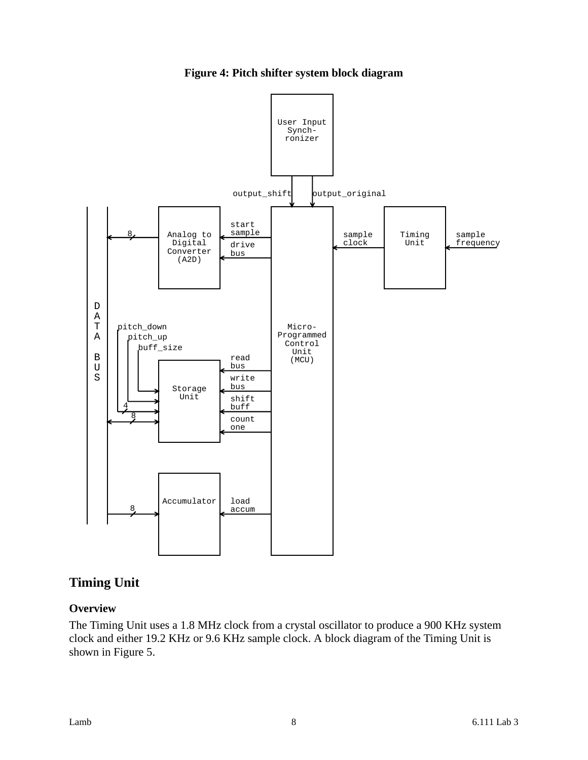**Figure 4: Pitch shifter system block diagram**

<span id="page-7-2"></span>

# <span id="page-7-0"></span>**Timing Unit**

### <span id="page-7-1"></span>**Overview**

The Timing Unit uses a 1.8 MHz clock from a crystal oscillator to produce a 900 KHz system clock and either 19.2 KHz or 9.6 KHz sample clock. A block diagram of the Timing Unit is shown in Figure 5.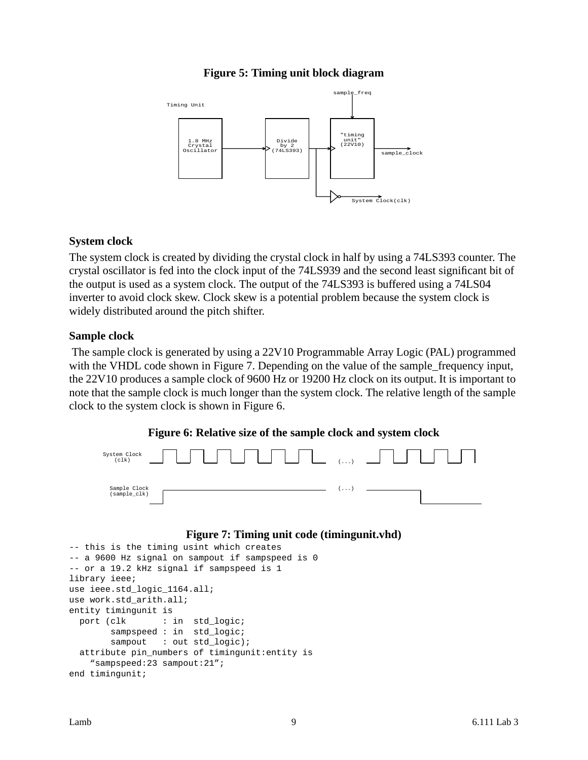#### **Figure 5: Timing unit block diagram**

<span id="page-8-2"></span>

#### <span id="page-8-0"></span>**System clock**

The system clock is created by dividing the crystal clock in half by using a 74LS393 counter. The crystal oscillator is fed into the clock input of the 74LS939 and the second least significant bit of the output is used as a system clock. The output of the 74LS393 is buffered using a 74LS04 inverter to avoid clock skew. Clock skew is a potential problem because the system clock is widely distributed around the pitch shifter.

#### <span id="page-8-1"></span>**Sample clock**

The sample clock is generated by using a 22V10 Programmable Array Logic (PAL) programmed with the VHDL code shown in Figure 7. Depending on the value of the sample\_frequency input, the 22V10 produces a sample clock of 9600 Hz or 19200 Hz clock on its output. It is important to note that the sample clock is much longer than the system clock. The relative length of the sample clock to the system clock is shown in Figure 6.



<span id="page-8-3"></span>

#### **Figure 7: Timing unit code (timingunit.vhd)**

```
-- this is the timing usint which creates
-- a 9600 Hz signal on sampout if sampspeed is 0
-- or a 19.2 kHz signal if sampspeed is 1
library ieee;
use ieee.std_logic_1164.all;
use work.std_arith.all;
entity timingunit is
 port (clk : in std_logic;
       sampspeed : in std_logic;
       sampout : out std_logic);
  attribute pin_numbers of timingunit:entity is
     "sampspeed:23 sampout:21";
end timingunit;
```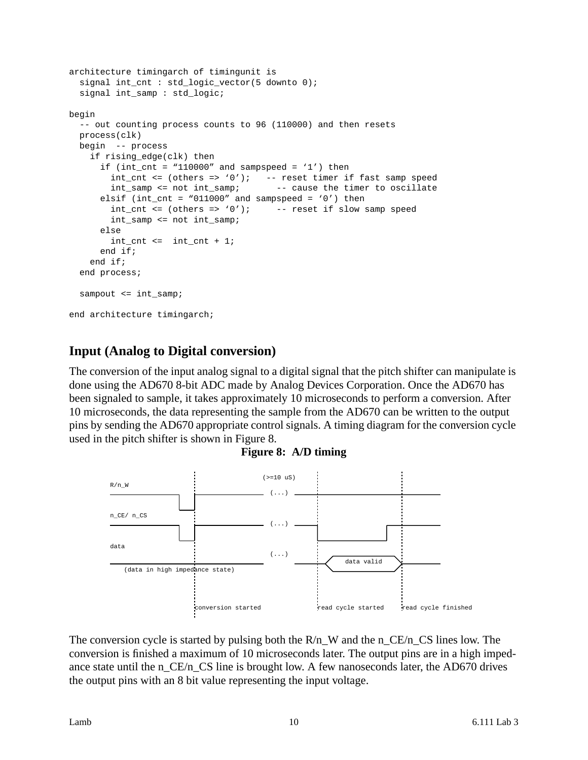```
architecture timingarch of timingunit is
   signal int_cnt : std_logic_vector(5 downto 0);
   signal int_samp : std_logic;
begin
   -- out counting process counts to 96 (110000) and then resets
   process(clk)
   begin -- process
     if rising_edge(clk) then
      if (int_cnt = "110000" and sampspeed = '1') then
        int_cnt <= (others => '0'); -- reset timer if fast samp speed
         int_samp <= not int_samp; -- cause the timer to oscillate
      elsif (int_cnt = "011000" and sampspeed = '0') then
        int_cnt <= (others => '0'); -- reset if slow samp speed
         int_samp <= not int_samp;
       else
        int_{ent} < = int_{ent} + 1; end if;
     end if;
   end process;
  sampout <= int_samp;
end architecture timingarch;
```
# <span id="page-9-0"></span>**Input (Analog to Digital conversion)**

The conversion of the input analog signal to a digital signal that the pitch shifter can manipulate is done using the AD670 8-bit ADC made by Analog Devices Corporation. Once the AD670 has been signaled to sample, it takes approximately 10 microseconds to perform a conversion. After 10 microseconds, the data representing the sample from the AD670 can be written to the output pins by sending the AD670 appropriate control signals. A timing diagram for the conversion cycle used in the pitch shifter is shown in Figure 8.

**Figure 8: A/D timing**

<span id="page-9-1"></span>

The conversion cycle is started by pulsing both the  $R/n$  W and the n CE/n CS lines low. The conversion is finished a maximum of 10 microseconds later. The output pins are in a high impedance state until the n\_CE/n\_CS line is brought low. A few nanoseconds later, the AD670 drives the output pins with an 8 bit value representing the input voltage.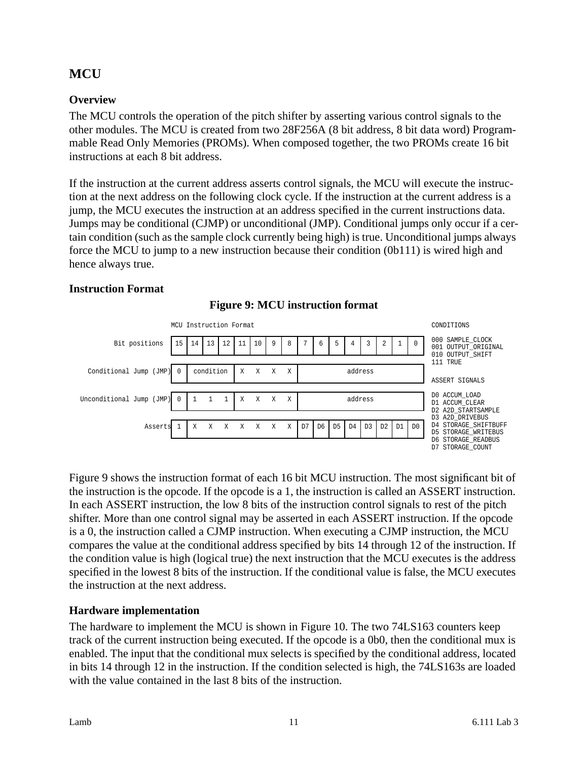# <span id="page-10-0"></span>**MCU**

# <span id="page-10-1"></span>**Overview**

The MCU controls the operation of the pitch shifter by asserting various control signals to the other modules. The MCU is created from two 28F256A (8 bit address, 8 bit data word) Programmable Read Only Memories (PROMs). When composed together, the two PROMs create 16 bit instructions at each 8 bit address.

If the instruction at the current address asserts control signals, the MCU will execute the instruction at the next address on the following clock cycle. If the instruction at the current address is a jump, the MCU executes the instruction at an address specified in the current instructions data. Jumps may be conditional (CJMP) or unconditional (JMP). Conditional jumps only occur if a certain condition (such as the sample clock currently being high) is true. Unconditional jumps always force the MCU to jump to a new instruction because their condition (0b111) is wired high and hence always true.

### <span id="page-10-4"></span><span id="page-10-2"></span>**Instruction Format**





Figure 9 shows the instruction format of each 16 bit MCU instruction. The most significant bit of the instruction is the opcode. If the opcode is a 1, the instruction is called an ASSERT instruction. In each ASSERT instruction, the low 8 bits of the instruction control signals to rest of the pitch shifter. More than one control signal may be asserted in each ASSERT instruction. If the opcode is a 0, the instruction called a CJMP instruction. When executing a CJMP instruction, the MCU compares the value at the conditional address specified by bits 14 through 12 of the instruction. If the condition value is high (logical true) the next instruction that the MCU executes is the address specified in the lowest 8 bits of the instruction. If the conditional value is false, the MCU executes the instruction at the next address.

### <span id="page-10-3"></span>**Hardware implementation**

The hardware to implement the MCU is shown in Figure 10. The two 74LS163 counters keep track of the current instruction being executed. If the opcode is a 0b0, then the conditional mux is enabled. The input that the conditional mux selects is specified by the conditional address, located in bits 14 through 12 in the instruction. If the condition selected is high, the 74LS163s are loaded with the value contained in the last 8 bits of the instruction.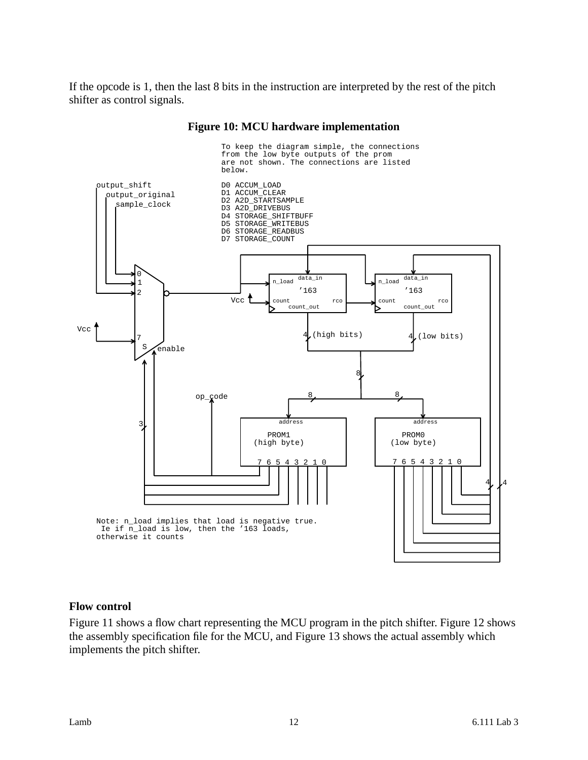If the opcode is 1, then the last 8 bits in the instruction are interpreted by the rest of the pitch shifter as control signals.

<span id="page-11-1"></span>

#### **Figure 10: MCU hardware implementation**

#### <span id="page-11-0"></span>**Flow control**

Figure 11 shows a flow chart representing the MCU program in the pitch shifter. Figure 12 shows the assembly specification file for the MCU, and Figure 13 shows the actual assembly which implements the pitch shifter.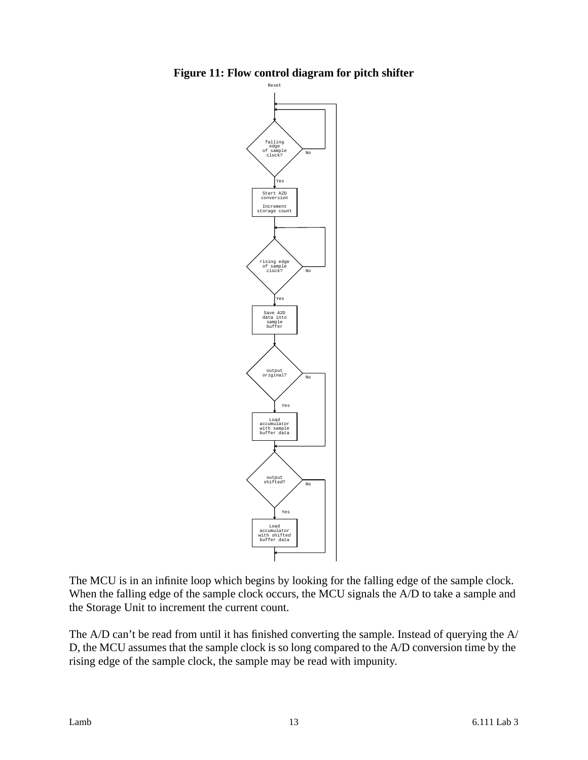

<span id="page-12-0"></span>**Figure 11: Flow control diagram for pitch shifter**

The MCU is in an infinite loop which begins by looking for the falling edge of the sample clock. When the falling edge of the sample clock occurs, the MCU signals the A/D to take a sample and the Storage Unit to increment the current count.

The A/D can't be read from until it has finished converting the sample. Instead of querying the A/ D, the MCU assumes that the sample clock is so long compared to the A/D conversion time by the rising edge of the sample clock, the sample may be read with impunity.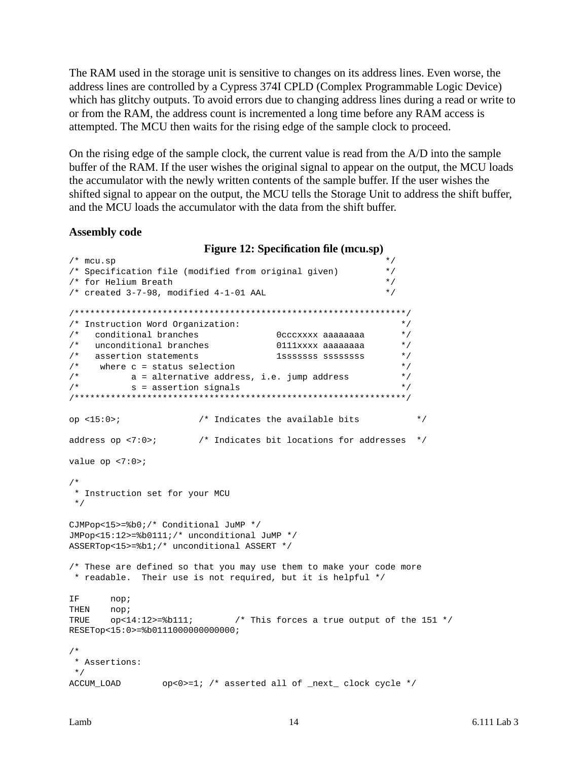The RAM used in the storage unit is sensitive to changes on its address lines. Even worse, the address lines are controlled by a Cypress 374I CPLD (Complex Programmable Logic Device) which has glitchy outputs. To avoid errors due to changing address lines during a read or write to or from the RAM, the address count is incremented a long time before any RAM access is attempted. The MCU then waits for the rising edge of the sample clock to proceed.

On the rising edge of the sample clock, the current value is read from the A/D into the sample buffer of the RAM. If the user wishes the original signal to appear on the output, the MCU loads the accumulator with the newly written contents of the sample buffer. If the user wishes the shifted signal to appear on the output, the MCU tells the Storage Unit to address the shift buffer, and the MCU loads the accumulator with the data from the shift buffer.

#### <span id="page-13-0"></span>**Assembly code**

```
Figure 12: Specification file (mcu.sp)
\frac{1}{x} mcu.sp \frac{1}{x}/* Specification file (modified from original given) */
/* for Helium Breath \frac{\ast}{\phantom{0}}<br>/* created 3-7-98, modified 4-1-01 AAL \frac{\ast}{\phantom{0}}/* created 3-7-98, modified 4-1-01 AAL
/****************************************************************/
/* Instruction Word Organization: */
/* conditional branches 0cccxxxx aaaaaaaa */
/* unconditional branches 0111xxxx aaaaaaaa */
/* assertion statements 1sssssss ssssssss */
\frac{1}{2} where c = status selection \frac{1}{2}\frac{1}{2} a = alternative address, i.e. jump address \frac{1}{2}\mathsf{X}^* s = assertion signals \mathsf{X} */
/****************************************************************/
op <15:0>; /* Indicates the available bits */
address op <7:0>; /* Indicates bit locations for addresses */
value op <7:0>;
/*
  * Instruction set for your MCU
 */
CJMPop<15>=%b0;/* Conditional JuMP */
JMPop<15:12>=%b0111;/* unconditional JuMP */
ASSERTop<15>=%b1;/* unconditional ASSERT */
/* These are defined so that you may use them to make your code more
 * readable. Their use is not required, but it is helpful */
IF nop;
THEN nop;
TRUE op<14:12>=8b111; /* This forces a true output of the 151 */
RESETop<15:0>=%b0111000000000000;
/*
 * Assertions:
  */
ACCUM LOAD op<0>=1; /* asserted all of next clock cycle */
```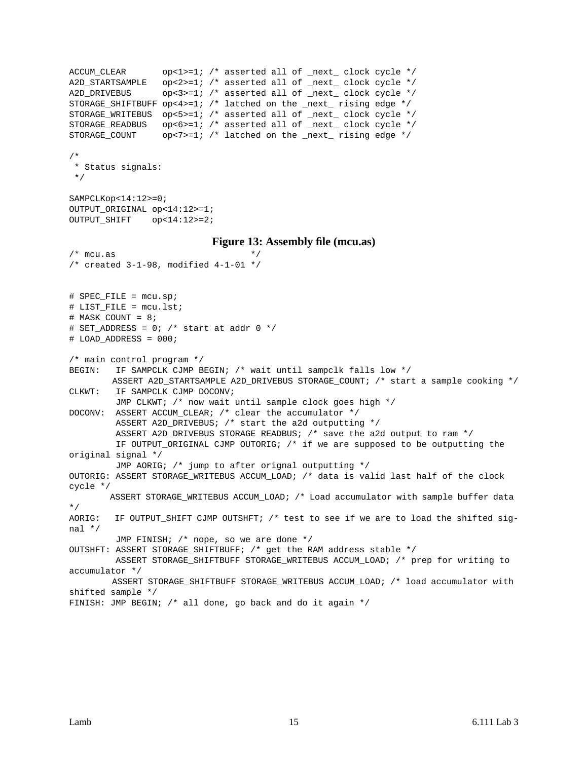```
ACCUM_CLEAR op<1>=1; /* asserted all of _next_ clock cycle */
A2D_STARTSAMPLE op<2>=1; /* asserted all of _next_ clock cycle */
A2D_DRIVEBUS op<3>=1; /* asserted all of _next_ clock cycle */
STORAGE SHIFTBUFF op<4>>=1; /* latched on the _next_ rising edge */
STORAGE_WRITEBUS op<5>=1; /* asserted all of _next_ clock cycle */
STORAGE_READBUS op<6>=1; /* asserted all of _next_ clock cycle */
STORAGE_COUNT op<7>=1; /* latched on the _next_ rising edge */
/*
  * Status signals:
  */
SAMPCLKop<14:12>=0;
OUTPUT_ORIGINAL op<14:12>=1;
OUTPUT_SHIFT op<14:12>=2;
                           Figure 13: Assembly file (mcu.as)
\prime* mcu.as */
/* created 3-1-98, modified 4-1-01 */
# SPEC_FILE = mcu.sp;
# LIST_FILE = mcu.lst;
# MASK_COUNT = 8;
# SET_ADDRESS = 0; /* start at addr 0 */
# LOAD_ADDRESS = 000;
/* main control program */
BEGIN: IF SAMPCLK CJMP BEGIN; /* wait until sampclk falls low */
        ASSERT A2D_STARTSAMPLE A2D_DRIVEBUS STORAGE_COUNT; /* start a sample cooking */
CLKWT: IF SAMPCLK CJMP DOCONV;
         JMP CLKWT; /* now wait until sample clock goes high */
DOCONV: ASSERT ACCUM_CLEAR; /* clear the accumulator */
         ASSERT A2D_DRIVEBUS; /* start the a2d outputting */
         ASSERT A2D_DRIVEBUS STORAGE_READBUS; /* save the a2d output to ram */
         IF OUTPUT_ORIGINAL CJMP OUTORIG; /* if we are supposed to be outputting the
original signal */
         JMP AORIG; /* jump to after orignal outputting */
OUTORIG: ASSERT STORAGE_WRITEBUS ACCUM_LOAD; /* data is valid last half of the clock
cycle */
       ASSERT STORAGE_WRITEBUS ACCUM_LOAD; /* Load accumulator with sample buffer data
*/
AORIG: IF OUTPUT_SHIFT CJMP OUTSHFT; /* test to see if we are to load the shifted sig-
nal */
         JMP FINISH; /* nope, so we are done */
OUTSHFT: ASSERT STORAGE_SHIFTBUFF; /* get the RAM address stable */
         ASSERT STORAGE_SHIFTBUFF STORAGE_WRITEBUS ACCUM_LOAD; /* prep for writing to
accumulator */
        ASSERT STORAGE_SHIFTBUFF STORAGE_WRITEBUS ACCUM_LOAD; /* load accumulator with
shifted sample */
FINISH: JMP BEGIN; /* all done, go back and do it again */
```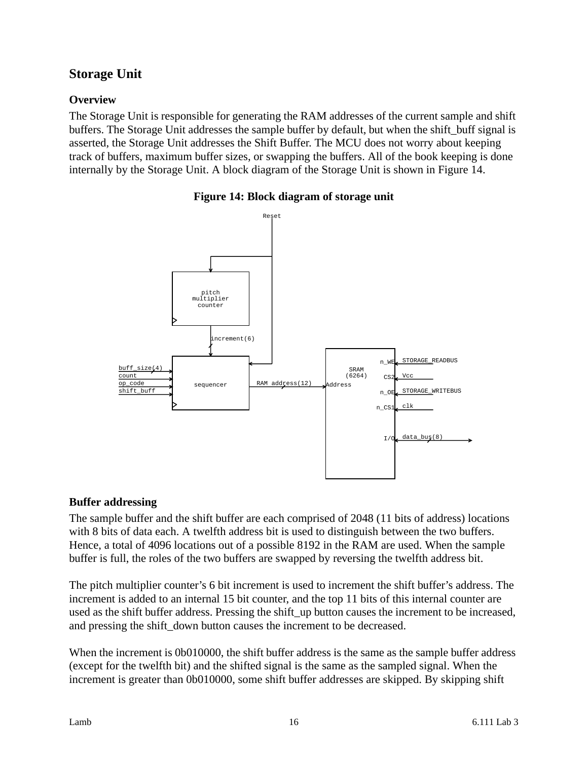# <span id="page-15-0"></span>**Storage Unit**

## <span id="page-15-1"></span>**Overview**

The Storage Unit is responsible for generating the RAM addresses of the current sample and shift buffers. The Storage Unit addresses the sample buffer by default, but when the shift\_buff signal is asserted, the Storage Unit addresses the Shift Buffer. The MCU does not worry about keeping track of buffers, maximum buffer sizes, or swapping the buffers. All of the book keeping is done internally by the Storage Unit. A block diagram of the Storage Unit is shown in Figure 14.

<span id="page-15-3"></span>



# <span id="page-15-2"></span>**Buffer addressing**

The sample buffer and the shift buffer are each comprised of 2048 (11 bits of address) locations with 8 bits of data each. A twelfth address bit is used to distinguish between the two buffers. Hence, a total of 4096 locations out of a possible 8192 in the RAM are used. When the sample buffer is full, the roles of the two buffers are swapped by reversing the twelfth address bit.

The pitch multiplier counter's 6 bit increment is used to increment the shift buffer's address. The increment is added to an internal 15 bit counter, and the top 11 bits of this internal counter are used as the shift buffer address. Pressing the shift\_up button causes the increment to be increased, and pressing the shift\_down button causes the increment to be decreased.

When the increment is 0b010000, the shift buffer address is the same as the sample buffer address (except for the twelfth bit) and the shifted signal is the same as the sampled signal. When the increment is greater than 0b010000, some shift buffer addresses are skipped. By skipping shift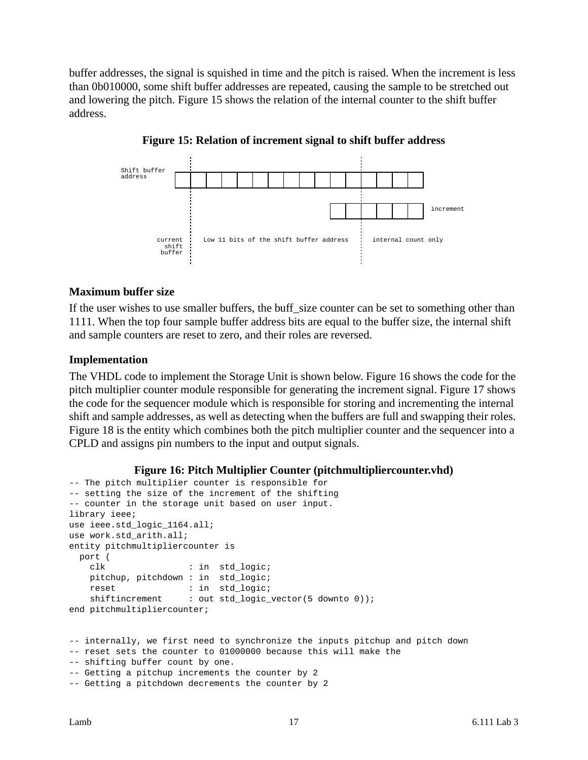buffer addresses, the signal is squished in time and the pitch is raised. When the increment is less than 0b010000, some shift buffer addresses are repeated, causing the sample to be stretched out and lowering the pitch. Figure 15 shows the relation of the internal counter to the shift buffer address.

<span id="page-16-2"></span>

**Figure 15: Relation of increment signal to shift buffer address**

#### <span id="page-16-0"></span>**Maximum buffer size**

If the user wishes to use smaller buffers, the buff size counter can be set to something other than 1111. When the top four sample buffer address bits are equal to the buffer size, the internal shift and sample counters are reset to zero, and their roles are reversed.

#### <span id="page-16-1"></span>**Implementation**

The VHDL code to implement the Storage Unit is shown below. Figure 16 shows the code for the pitch multiplier counter module responsible for generating the increment signal. Figure 17 shows the code for the sequencer module which is responsible for storing and incrementing the internal shift and sample addresses, as well as detecting when the buffers are full and swapping their roles. Figure 18 is the entity which combines both the pitch multiplier counter and the sequencer into a CPLD and assigns pin numbers to the input and output signals.

#### **Figure 16: Pitch Multiplier Counter (pitchmultipliercounter.vhd)**

```
-- The pitch multiplier counter is responsible for
-- setting the size of the increment of the shifting
-- counter in the storage unit based on user input.
library ieee;
use ieee.std logic 1164.all;
use work.std_arith.all;
entity pitchmultipliercounter is
  port (
    clk : in std_logic;
    pitchup, pitchdown : in std_logic;
   reset : in std_logic;
   shiftincrement : out std_logic_vector(5 downto 0));
end pitchmultipliercounter;
-- internally, we first need to synchronize the inputs pitchup and pitch down
-- reset sets the counter to 01000000 because this will make the
-- shifting buffer count by one.
-- Getting a pitchup increments the counter by 2
```

```
-- Getting a pitchdown decrements the counter by 2
```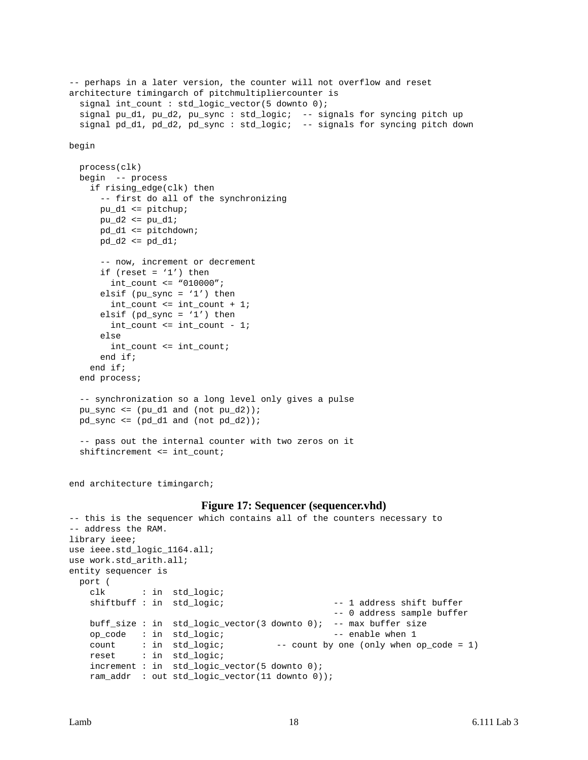```
-- perhaps in a later version, the counter will not overflow and reset
architecture timingarch of pitchmultipliercounter is
  signal int_count : std_logic_vector(5 downto 0);
   signal pu_d1, pu_d2, pu_sync : std_logic; -- signals for syncing pitch up
   signal pd_d1, pd_d2, pd_sync : std_logic; -- signals for syncing pitch down
begin
   process(clk)
   begin -- process
     if rising_edge(clk) then
       -- first do all of the synchronizing
       pu_d1 <= pitchup;
      pu_d2 \leq pu_d1;
       pd_d1 <= pitchdown;
       pd_d2 <= pd_d1;
       -- now, increment or decrement
      if (reset = '1') then
         int_count <= "010000";
      elsif (pu_sync = '1') then
         int_count <= int_count + 1;
      elsif (pd_sync = '1') then
         int_count <= int_count - 1;
       else
        int_count <= int_count;
       end if;
     end if;
   end process;
   -- synchronization so a long level only gives a pulse
  pu_sync \leq (pu_d1 and (not pu_d2));
  pd<sub>sync</sub> <= .pdf .pdf .pdf and (not pd_d2));
   -- pass out the internal counter with two zeros on it
   shiftincrement <= int_count;
```
end architecture timingarch;

#### **Figure 17: Sequencer (sequencer.vhd)**

```
-- this is the sequencer which contains all of the counters necessary to
-- address the RAM.
library ieee;
use ieee.std_logic_1164.all;
use work.std_arith.all;
entity sequencer is
  port (
    clk : in std_logic;
   shiftbuff : in std_logic; -1 address shift buffer
                                               -- 0 address sample buffer
    buff_size : in std_logic_vector(3 downto 0); -- max buffer size
   op_code : in std_logic; -- enable when 1
   count : in std_logic; -- count by one (only when op_code = 1)
    reset : in std_logic;
    increment : in std_logic_vector(5 downto 0);
    ram_addr : out std_logic_vector(11 downto 0));
```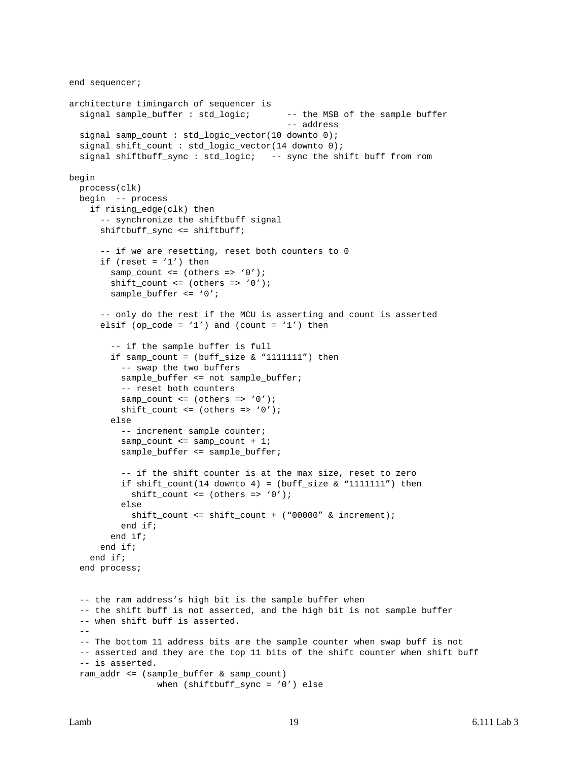```
end sequencer;
architecture timingarch of sequencer is
  signal sample_buffer : std_logic; -- the MSB of the sample buffer
                                            -- address
   signal samp_count : std_logic_vector(10 downto 0);
   signal shift_count : std_logic_vector(14 downto 0);
   signal shiftbuff_sync : std_logic; -- sync the shift buff from rom
begin
   process(clk)
   begin -- process
     if rising_edge(clk) then
       -- synchronize the shiftbuff signal
       shiftbuff_sync <= shiftbuff;
       -- if we are resetting, reset both counters to 0
      if (reset = '1') then
        samp_count <= (others => '0');
        shift_count <= (others =& '0'); sample_buffer <= '0';
       -- only do the rest if the MCU is asserting and count is asserted
      elsif (op_code = '1') and (count = '1') then
         -- if the sample buffer is full
        if samp_count = (buff_size & "1111111") then
           -- swap the two buffers
           sample_buffer <= not sample_buffer;
           -- reset both counters
          samp_count <= (others => '0');
          shift_count <= (others => '0');
         else
           -- increment sample counter;
          samp_count <= samp_count + 1;
           sample_buffer <= sample_buffer;
           -- if the shift counter is at the max size, reset to zero
          if shift_count(14 downto 4) = (buff_size & "1111111") then
             shift_count <= (others => '0');
           else
             shift_count <= shift_count + ("00000" & increment);
           end if;
         end if;
       end if;
     end if;
   end process;
   -- the ram address's high bit is the sample buffer when
   -- the shift buff is not asserted, and the high bit is not sample buffer
   -- when shift buff is asserted.
  - -- The bottom 11 address bits are the sample counter when swap buff is not
   -- asserted and they are the top 11 bits of the shift counter when shift buff
   -- is asserted.
   ram_addr <= (sample_buffer & samp_count)
                  when (shiftbuff_sync = '0') else
```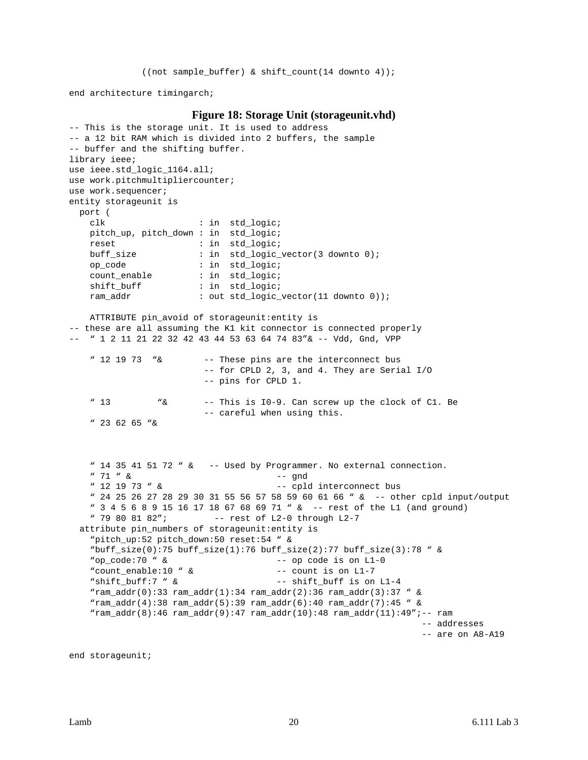((not sample\_buffer) & shift\_count(14 downto 4));

end architecture timingarch;

#### **Figure 18: Storage Unit (storageunit.vhd)**

```
-- This is the storage unit. It is used to address
-- a 12 bit RAM which is divided into 2 buffers, the sample
-- buffer and the shifting buffer.
library ieee;
use ieee.std_logic_1164.all;
use work.pitchmultipliercounter;
use work.sequencer;
entity storageunit is
  port (
    clk : in std_logic;
    pitch_up, pitch_down : in std_logic;
   reset : in std_logic;
    buff_size : in std_logic_vector(3 downto 0);
    op_code : in std_logic;
    count_enable : in std_logic;
    shift_buff : in std_logic;
    ram_addr : out std_logic_vector(11 downto 0));
    ATTRIBUTE pin_avoid of storageunit:entity is
-- these are all assuming the K1 kit connector is connected properly
-- " 1 2 11 21 22 32 42 43 44 53 63 64 74 83"& -- Vdd, Gnd, VPP
    " 12 19 73 "& -- These pins are the interconnect bus
                        -- for CPLD 2, 3, and 4. They are Serial I/O
                        -- pins for CPLD 1.
    " 13 "& -- This is I0-9. Can screw up the clock of C1. Be
                        -- careful when using this.
    " 23 62 65 "&
    " 14 35 41 51 72 " & -- Used by Programmer. No external connection.
    " 71 " & -- gnd
    " 12 19 73 " & -- cpld interconnect bus
    " 24 25 26 27 28 29 30 31 55 56 57 58 59 60 61 66 " & -- other cpld input/output
    " 3 4 5 6 8 9 15 16 17 18 67 68 69 71 " & -- rest of the L1 (and ground)
   " 79 80 81 82"; -- rest of L2-0 through L2-7
  attribute pin_numbers of storageunit:entity is
    "pitch_up:52 pitch_down:50 reset:54 " &
    "buff_size(0):75 buff_size(1):76 buff_size(2):77 buff_size(3):78 " &
    "op_code:70 " & -- op code is on L1-0
    "count_enable:10 " & -- count is on L1-7
    "shift_buff:7 " & -- shift_buff is on L1-4
   "ram_addr(0):33 ram_addr(1):34 ram_addr(2):36 ram_addr(3):37 " \& "ram_addr(4):38 ram_addr(5):39 ram_addr(6):40 ram_addr(7):45 " &
    "ram_addr(8):46 ram_addr(9):47 ram_addr(10):48 ram_addr(11):49";-- ram
                                                              -- addresses
                                                              -- are on A8-A19
```
end storageunit;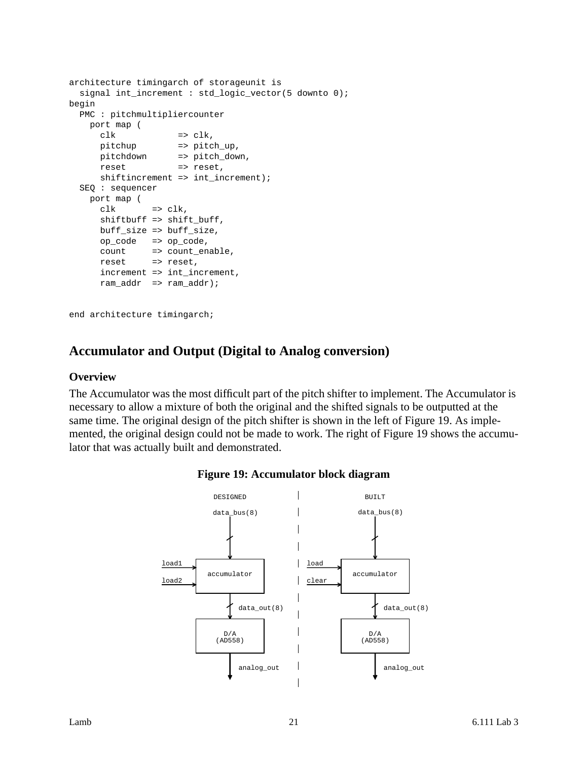```
architecture timingarch of storageunit is
   signal int_increment : std_logic_vector(5 downto 0);
begin
   PMC : pitchmultipliercounter
     port map (
      \begin{aligned}\n \text{clk} \quad \text{I} &\Rightarrow \text{clk}\,,\n \end{aligned} pitchup => pitch_up,
      pitchdown => pitch_down,
     reset => reset,
      shiftincrement => int_increment);
   SEQ : sequencer
     port map (
     clk => clk,
       shiftbuff => shift_buff,
       buff_size => buff_size,
       op_code => op_code,
 count => count_enable,
reset => reset,
       increment => int_increment,
       ram_addr => ram_addr);
```
end architecture timingarch;

# <span id="page-20-0"></span>**Accumulator and Output (Digital to Analog conversion)**

#### <span id="page-20-1"></span>**Overview**

<span id="page-20-2"></span>The Accumulator was the most difficult part of the pitch shifter to implement. The Accumulator is necessary to allow a mixture of both the original and the shifted signals to be outputted at the same time. The original design of the pitch shifter is shown in the left of Figure 19. As implemented, the original design could not be made to work. The right of Figure 19 shows the accumulator that was actually built and demonstrated.



#### **Figure 19: Accumulator block diagram**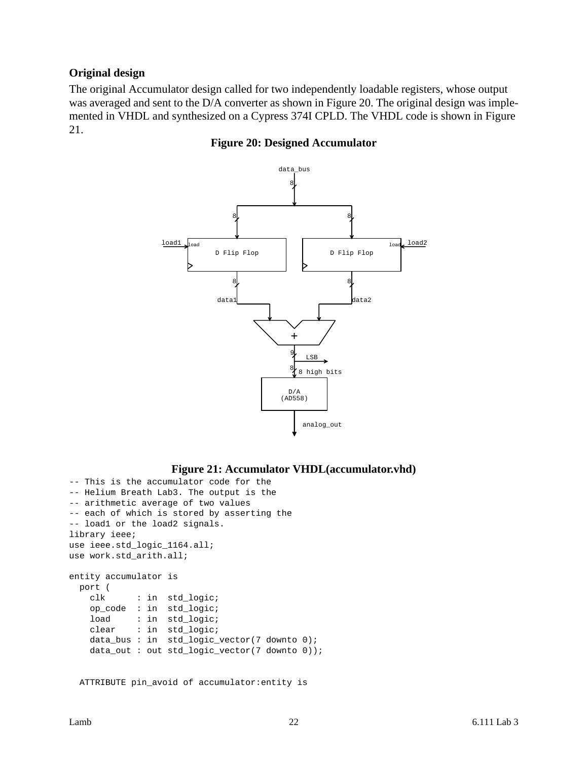### <span id="page-21-0"></span>**Original design**

<span id="page-21-1"></span>The original Accumulator design called for two independently loadable registers, whose output was averaged and sent to the D/A converter as shown in Figure 20. The original design was implemented in VHDL and synthesized on a Cypress 374I CPLD. The VHDL code is shown in Figure 21.

#### **Figure 20: Designed Accumulator**



#### **Figure 21: Accumulator VHDL(accumulator.vhd)**

```
-- This is the accumulator code for the
-- Helium Breath Lab3. The output is the
-- arithmetic average of two values
-- each of which is stored by asserting the
-- load1 or the load2 signals.
library ieee;
use ieee.std logic 1164.all;
use work.std_arith.all;
entity accumulator is
  port (
    clk : in std_logic;
    op_code : in std_logic;
   load : in std_logic;
    clear : in std_logic;
    data_bus : in std_logic_vector(7 downto 0);
    data_out : out std_logic_vector(7 downto 0));
```
ATTRIBUTE pin\_avoid of accumulator:entity is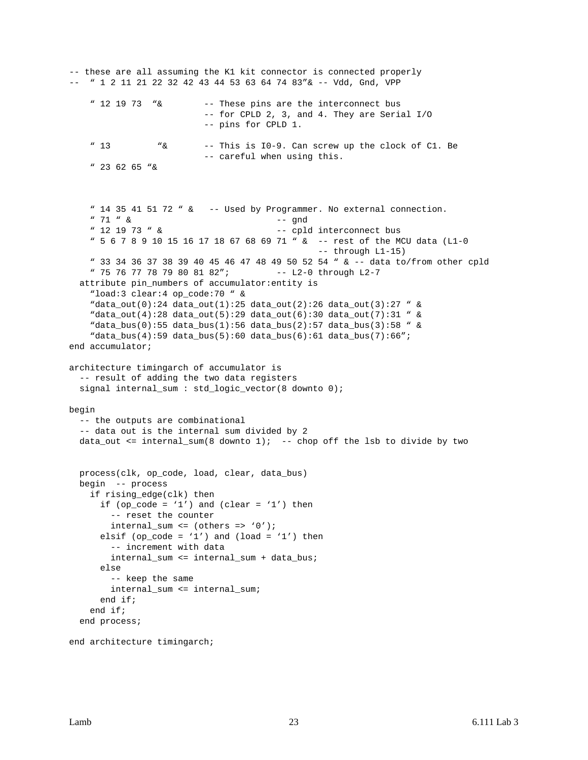```
-- these are all assuming the K1 kit connector is connected properly
-- " 1 2 11 21 22 32 42 43 44 53 63 64 74 83"& -- Vdd, Gnd, VPP
    " 12 19 73 "& -- These pins are the interconnect bus
                          -- for CPLD 2, 3, and 4. They are Serial I/O
                          -- pins for CPLD 1.
     " 13 "& -- This is I0-9. Can screw up the clock of C1. Be
                          -- careful when using this.
     " 23 62 65 "&
     " 14 35 41 51 72 " & -- Used by Programmer. No external connection.
     " 71 " & -- gnd
    " 12 19 73" \& -\text{cpld intercept bus} " 5 6 7 8 9 10 15 16 17 18 67 68 69 71 " & -- rest of the MCU data (L1-0
                                               -- through L1-15)
     " 33 34 36 37 38 39 40 45 46 47 48 49 50 52 54 " & -- data to/from other cpld
    " 75 76 77 78 79 80 81 82"; -- L2-0 through L2-7
   attribute pin_numbers of accumulator:entity is
     "load:3 clear:4 op_code:70 " &
     "data_out(0):24 data_out(1):25 data_out(2):26 data_out(3):27 " &
     "data_out(4):28 data_out(5):29 data_out(6):30 data_out(7):31 " &
     "data_bus(0):55 data_bus(1):56 data_bus(2):57 data_bus(3):58 " &
     "data_bus(4):59 data_bus(5):60 data_bus(6):61 data_bus(7):66";
end accumulator;
architecture timingarch of accumulator is
   -- result of adding the two data registers
   signal internal_sum : std_logic_vector(8 downto 0);
begin
   -- the outputs are combinational
   -- data out is the internal sum divided by 2
   data_out <= internal_sum(8 downto 1); -- chop off the lsb to divide by two
   process(clk, op_code, load, clear, data_bus)
   begin -- process
    if rising_edge(clk) then
     if (op_code = '1') and (clear = '1') then
         -- reset the counter
        internal_sum <= (others => '0');
      elsif (op_code = '1') and (load = '1') then
        -- increment with data
        internal_sum <= internal_sum + data_bus;
      else
        -- keep the same
        internal_sum <= internal_sum;
       end if;
     end if;
   end process;
```

```
end architecture timingarch;
```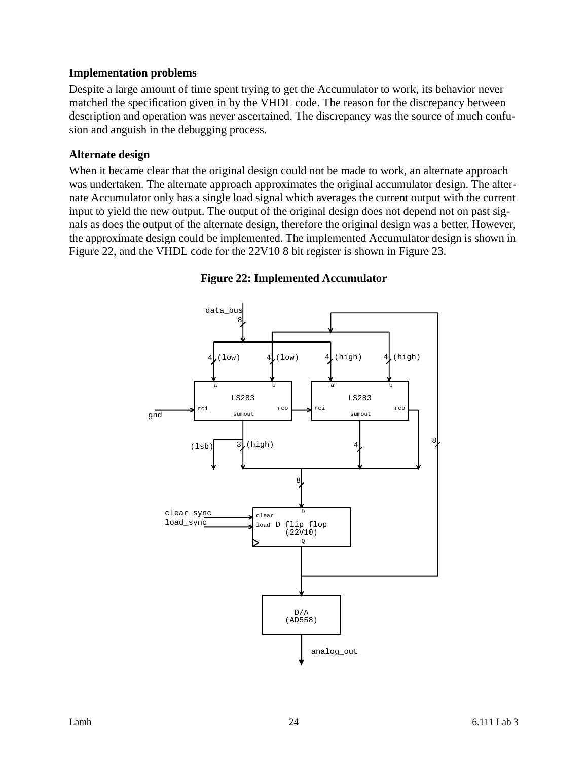### <span id="page-23-0"></span>**Implementation problems**

Despite a large amount of time spent trying to get the Accumulator to work, its behavior never matched the specification given in by the VHDL code. The reason for the discrepancy between description and operation was never ascertained. The discrepancy was the source of much confusion and anguish in the debugging process.

### <span id="page-23-1"></span>**Alternate design**

When it became clear that the original design could not be made to work, an alternate approach was undertaken. The alternate approach approximates the original accumulator design. The alternate Accumulator only has a single load signal which averages the current output with the current input to yield the new output. The output of the original design does not depend not on past signals as does the output of the alternate design, therefore the original design was a better. However, the approximate design could be implemented. The implemented Accumulator design is shown in Figure 22, and the VHDL code for the 22V10 8 bit register is shown in Figure 23.

<span id="page-23-2"></span>

### **Figure 22: Implemented Accumulator**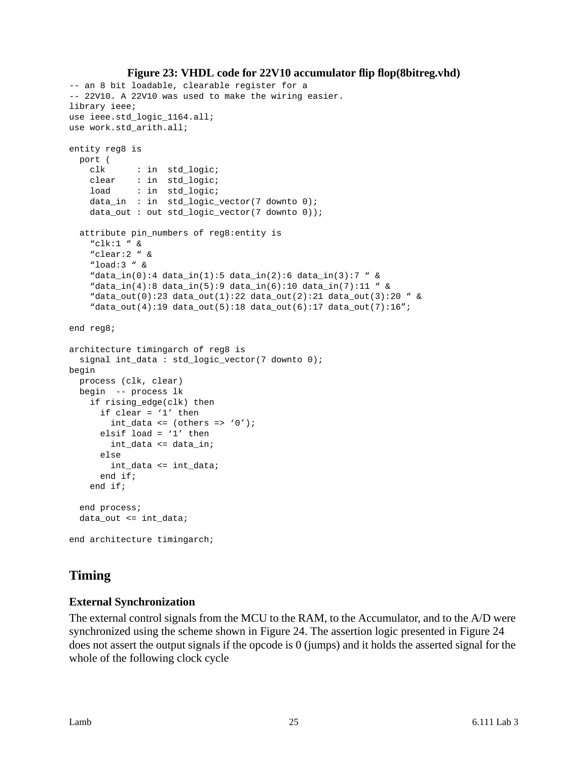```
Figure 23: VHDL code for 22V10 accumulator flip flop(8bitreg.vhd)
-- an 8 bit loadable, clearable register for a
-- 22V10. A 22V10 was used to make the wiring easier.
library ieee;
use ieee.std_logic_1164.all;
use work.std_arith.all;
entity reg8 is
  port (
    clk : in std_logic;
    clear : in std_logic;
   load : in std_logic;
    data_in : in std_logic_vector(7 downto 0);
     data_out : out std_logic_vector(7 downto 0));
   attribute pin_numbers of reg8:entity is
     "clk:1 " &
     "clear:2 " &
     "load:3 " &
     "data_in(0):4 data_in(1):5 data_in(2):6 data_in(3):7 " &
     "data_in(4):8 data_in(5):9 data_in(6):10 data_in(7):11 " &
     "data_out(0):23 data_out(1):22 data_out(2):21 data_out(3):20 " &
     "data_out(4):19 data_out(5):18 data_out(6):17 data_out(7):16";
end reg8;
architecture timingarch of reg8 is
   signal int_data : std_logic_vector(7 downto 0);
begin
  process (clk, clear)
  begin -- process lk
    if rising_edge(clk) then
       if clear = '1' then
       int_data <= (others =& '0');
       elsif load = '1' then
        int_data <= data_in;
       else
        int_data <= int_data;
       end if;
    end if;
   end process;
   data_out <= int_data;
end architecture timingarch;
```
# <span id="page-24-0"></span>**Timing**

# <span id="page-24-1"></span>**External Synchronization**

The external control signals from the MCU to the RAM, to the Accumulator, and to the A/D were synchronized using the scheme shown in Figure 24. The assertion logic presented in Figure 24 does not assert the output signals if the opcode is 0 (jumps) and it holds the asserted signal for the whole of the following clock cycle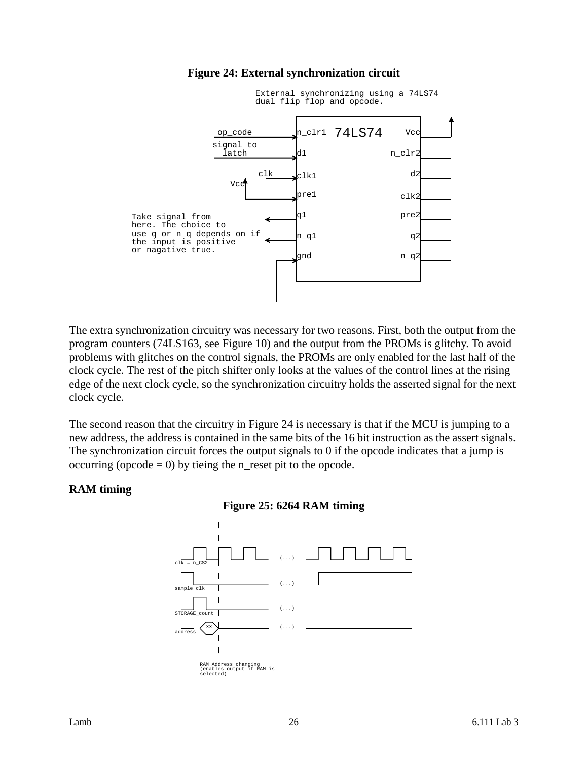<span id="page-25-1"></span>

#### **Figure 24: External synchronization circuit**

The extra synchronization circuitry was necessary for two reasons. First, both the output from the program counters (74LS163, see Figure 10) and the output from the PROMs is glitchy. To avoid problems with glitches on the control signals, the PROMs are only enabled for the last half of the clock cycle. The rest of the pitch shifter only looks at the values of the control lines at the rising edge of the next clock cycle, so the synchronization circuitry holds the asserted signal for the next clock cycle.

The second reason that the circuitry in Figure 24 is necessary is that if the MCU is jumping to a new address, the address is contained in the same bits of the 16 bit instruction as the assert signals. The synchronization circuit forces the output signals to 0 if the opcode indicates that a jump is occurring (opcode  $= 0$ ) by tieing the n\_reset pit to the opcode.

#### <span id="page-25-2"></span><span id="page-25-0"></span>**RAM timing**



#### **Figure 25: 6264 RAM timing**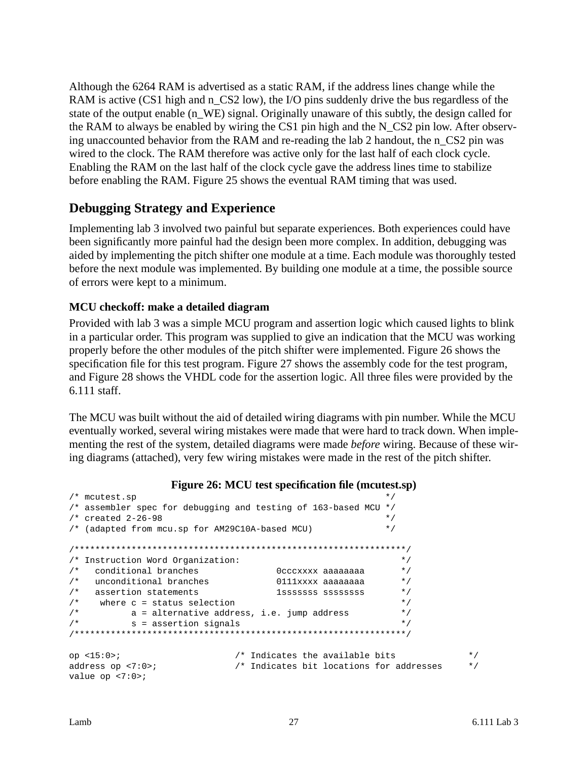Although the 6264 RAM is advertised as a static RAM, if the address lines change while the RAM is active (CS1 high and n\_CS2 low), the I/O pins suddenly drive the bus regardless of the state of the output enable (n\_WE) signal. Originally unaware of this subtly, the design called for the RAM to always be enabled by wiring the CS1 pin high and the N\_CS2 pin low. After observing unaccounted behavior from the RAM and re-reading the lab 2 handout, the n\_CS2 pin was wired to the clock. The RAM therefore was active only for the last half of each clock cycle. Enabling the RAM on the last half of the clock cycle gave the address lines time to stabilize before enabling the RAM. Figure 25 shows the eventual RAM timing that was used.

# <span id="page-26-0"></span>**Debugging Strategy and Experience**

Implementing lab 3 involved two painful but separate experiences. Both experiences could have been significantly more painful had the design been more complex. In addition, debugging was aided by implementing the pitch shifter one module at a time. Each module was thoroughly tested before the next module was implemented. By building one module at a time, the possible source of errors were kept to a minimum.

### <span id="page-26-1"></span>**MCU checkoff: make a detailed diagram**

Provided with lab 3 was a simple MCU program and assertion logic which caused lights to blink in a particular order. This program was supplied to give an indication that the MCU was working properly before the other modules of the pitch shifter were implemented. Figure 26 shows the specification file for this test program. Figure 27 shows the assembly code for the test program, and Figure 28 shows the VHDL code for the assertion logic. All three files were provided by the 6.111 staff.

The MCU was built without the aid of detailed wiring diagrams with pin number. While the MCU eventually worked, several wiring mistakes were made that were hard to track down. When implementing the rest of the system, detailed diagrams were made *before* wiring. Because of these wiring diagrams (attached), very few wiring mistakes were made in the rest of the pitch shifter.

#### **Figure 26: MCU test specification file (mcutest.sp)**

```
\frac{1}{2} mcutest.sp \frac{1}{2} mutest.sp
/* assembler spec for debugging and testing of 163-based MCU */
4 * created 2-26-98 */
/* (adapted from mcu.sp for AM29C10A-based MCU) */
/****************************************************************/
/* Instruction Word Organization: */
%/* conditional branches \frac{1}{4} 0cccxxxx aaaaaaaa */<br>/* unconditional branches 0111xxxx aaaaaaaa */
/* unconditional branches 0111xxxx aaaaaaaa */
/* assertion statements 1sssssss ssssssss */
\frac{1}{x} where c = status selection \frac{x}{x}\frac{1}{x} a = alternative address, i.e. jump address \frac{x}{x}/* s = assertion signals */
/****************************************************************/
op <15:0>; /* Indicates the available bits */
address op <7:0>; /* Indicates bit locations for addresses */
value op <7:0>;
```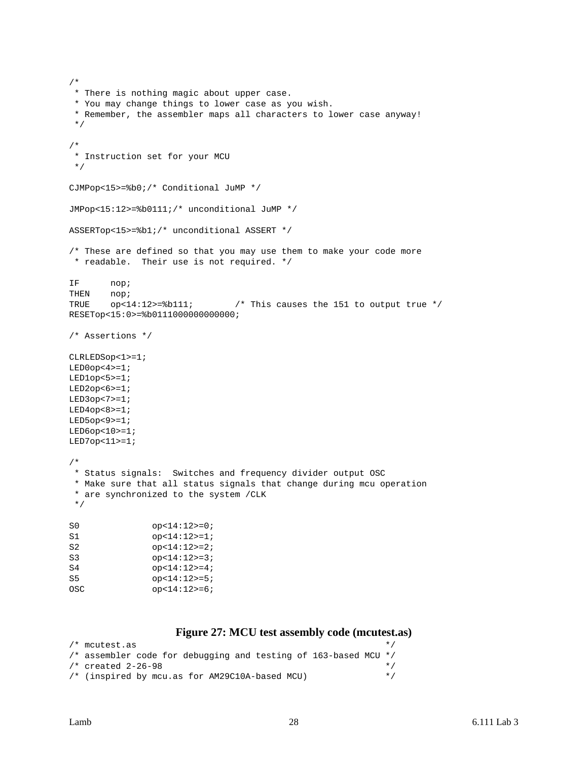```
/*
  * There is nothing magic about upper case.
  * You may change things to lower case as you wish.
  * Remember, the assembler maps all characters to lower case anyway!
  */
/*
  * Instruction set for your MCU
  */
CJMPop<15>=%b0;/* Conditional JuMP */
JMPop<15:12>=%b0111;/* unconditional JuMP */
ASSERTop<15>=%b1;/* unconditional ASSERT */
/* These are defined so that you may use them to make your code more
 * readable. Their use is not required. */
IF nop;
THEN nop;
TRUE op<14:12>=%b111; /* This causes the 151 to output true */
RESETop<15:0>=%b0111000000000000;
/* Assertions */
CLRLEDSop<1>=1;
LED0op<4>=1;
LED1op<5>=1;
LED2op<6>=1;
LED3op<7>=1;LED4op<8>=1;LED5op<9>=1;LED6op<10>=1;
LED7op<11>=1;
/*
  * Status signals: Switches and frequency divider output OSC
  * Make sure that all status signals that change during mcu operation
  * are synchronized to the system /CLK
  */
S0 		 op<14:12>=0;
S1 op<14:12>=1;
S2 op<14:12>=2;
S3 op<14:12>=3;
S4 op<14:12>=4;S5 op<14:12>=5;
OSC op<14:12>=6;
```
#### **Figure 27: MCU test assembly code (mcutest.as)**

```
\frac{1}{x} mcutest.as \frac{x}{x}/* assembler code for debugging and testing of 163-based MCU */
/* created 2-26-98 */
/* (inspired by mcu.as for AM29C10A-based MCU) */
```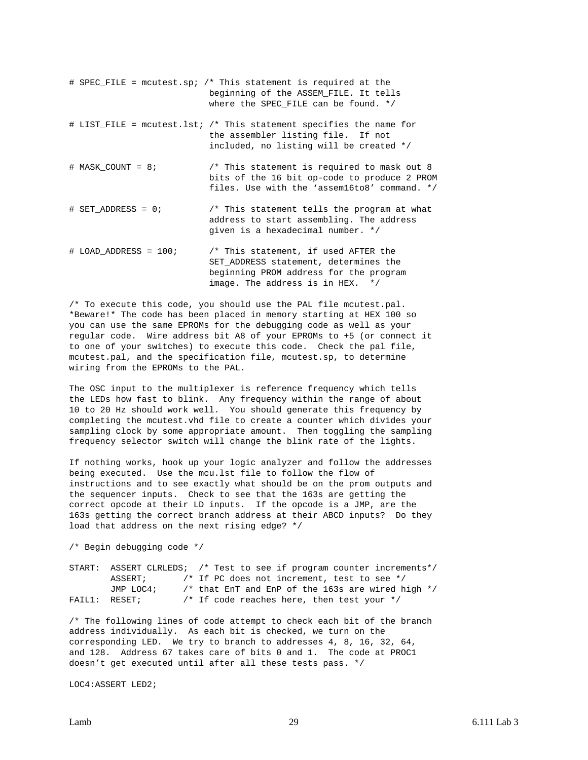# SPEC\_FILE = mcutest.sp; /\* This statement is required at the beginning of the ASSEM\_FILE. It tells where the SPEC FILE can be found. \*/ # LIST\_FILE = mcutest.lst; /\* This statement specifies the name for the assembler listing file. If not included, no listing will be created \*/ # MASK\_COUNT = 8; /\* This statement is required to mask out 8 bits of the 16 bit op-code to produce 2 PROM files. Use with the 'assem16to8' command. \*/ # SET\_ADDRESS = 0; /\* This statement tells the program at what address to start assembling. The address given is a hexadecimal number. \*/ # LOAD ADDRESS = 100;  $\overline{\phantom{a}}$  /\* This statement, if used AFTER the SET\_ADDRESS statement, determines the beginning PROM address for the program image. The address is in HEX. \*/

/\* To execute this code, you should use the PAL file mcutest.pal. \*Beware!\* The code has been placed in memory starting at HEX 100 so you can use the same EPROMs for the debugging code as well as your regular code. Wire address bit A8 of your EPROMs to +5 (or connect it to one of your switches) to execute this code. Check the pal file, mcutest.pal, and the specification file, mcutest.sp, to determine wiring from the EPROMs to the PAL.

The OSC input to the multiplexer is reference frequency which tells the LEDs how fast to blink. Any frequency within the range of about 10 to 20 Hz should work well. You should generate this frequency by completing the mcutest.vhd file to create a counter which divides your sampling clock by some appropriate amount. Then toggling the sampling frequency selector switch will change the blink rate of the lights.

If nothing works, hook up your logic analyzer and follow the addresses being executed. Use the mcu.lst file to follow the flow of instructions and to see exactly what should be on the prom outputs and the sequencer inputs. Check to see that the 163s are getting the correct opcode at their LD inputs. If the opcode is a JMP, are the 163s getting the correct branch address at their ABCD inputs? Do they load that address on the next rising edge? \*/

/\* Begin debugging code \*/

|  |               | START: ASSERT CLRLEDS; /* Test to see if program counter increments*/ |
|--|---------------|-----------------------------------------------------------------------|
|  | ASSERT;       | /* If PC does not increment, test to see */                           |
|  | JMP LOC4;     | /* that EnT and EnP of the 163s are wired high */                     |
|  | FAIL1: RESET; | /* If code reaches here, then test your $*/$                          |

/\* The following lines of code attempt to check each bit of the branch address individually. As each bit is checked, we turn on the corresponding LED. We try to branch to addresses 4, 8, 16, 32, 64, and 128. Address 67 takes care of bits 0 and 1. The code at PROC1 doesn't get executed until after all these tests pass. \*/

LOC4:ASSERT LED2;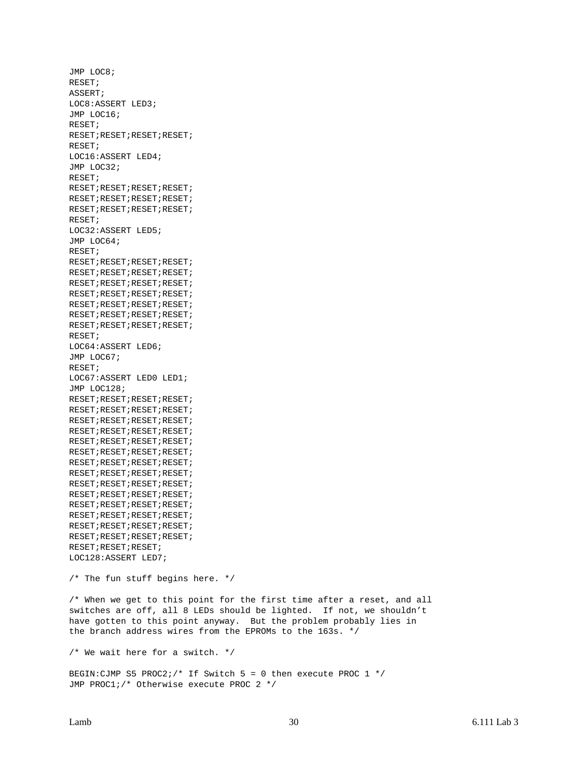JMP LOC8; RESET; ASSERT; LOC8:ASSERT LED3; JMP LOC16; RESET; RESET;RESET;RESET;RESET; RESET; LOC16:ASSERT LED4; JMP LOC32; RESET; RESET;RESET;RESET;RESET; RESET;RESET;RESET;RESET; RESET;RESET;RESET;RESET; RESET; LOC32:ASSERT LED5; JMP LOC64; RESET; RESET;RESET;RESET;RESET; RESET;RESET;RESET;RESET; RESET;RESET;RESET;RESET; RESET;RESET;RESET;RESET; RESET;RESET;RESET;RESET; RESET;RESET;RESET;RESET; RESET;RESET;RESET;RESET; RESET; LOC64:ASSERT LED6; JMP LOC67; RESET; LOC67:ASSERT LED0 LED1; JMP LOC128; RESET;RESET;RESET;RESET; RESET;RESET;RESET;RESET; RESET;RESET;RESET;RESET; RESET;RESET;RESET;RESET; RESET;RESET;RESET;RESET; RESET;RESET;RESET;RESET; RESET;RESET;RESET;RESET; RESET;RESET;RESET;RESET; RESET;RESET;RESET;RESET; RESET;RESET;RESET;RESET; RESET;RESET;RESET;RESET; RESET;RESET;RESET;RESET; RESET;RESET;RESET;RESET; RESET;RESET;RESET;RESET; RESET;RESET;RESET; LOC128:ASSERT LED7; /\* The fun stuff begins here. \*/ /\* When we get to this point for the first time after a reset, and all switches are off, all 8 LEDs should be lighted. If not, we shouldn't have gotten to this point anyway. But the problem probably lies in the branch address wires from the EPROMs to the 163s. \*/ /\* We wait here for a switch. \*/ BEGIN:CJMP S5 PROC2;/\* If Switch 5 = 0 then execute PROC 1  $*/$ JMP PROC1;/\* Otherwise execute PROC 2 \*/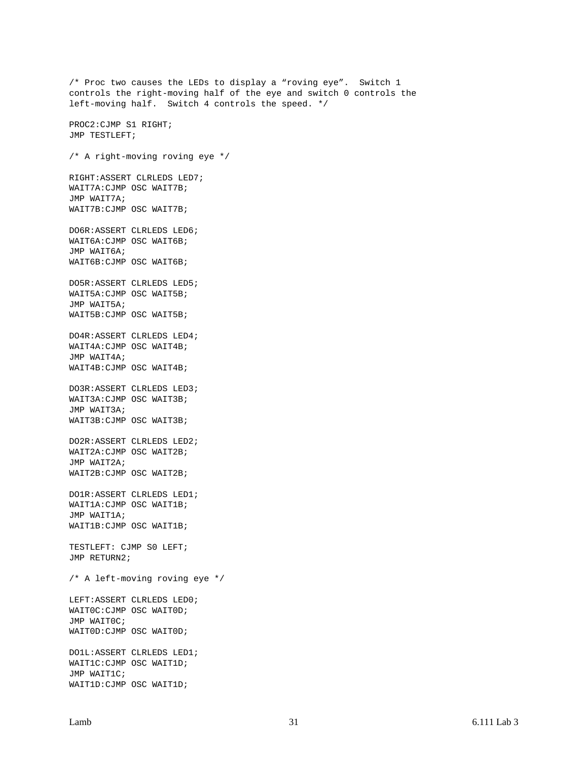/\* Proc two causes the LEDs to display a "roving eye". Switch 1 controls the right-moving half of the eye and switch 0 controls the left-moving half. Switch 4 controls the speed. \*/ PROC2:CJMP S1 RIGHT; JMP TESTLEFT; /\* A right-moving roving eye \*/ RIGHT:ASSERT CLRLEDS LED7; WAIT7A:CJMP OSC WAIT7B; JMP WAIT7A; WAIT7B:CJMP OSC WAIT7B; DO6R:ASSERT CLRLEDS LED6; WAIT6A:CJMP OSC WAIT6B; JMP WAIT6A; WAIT6B:CJMP OSC WAIT6B; DO5R:ASSERT CLRLEDS LED5; WAIT5A:CJMP OSC WAIT5B; JMP WAIT5A; WAIT5B:CJMP OSC WAIT5B; DO4R:ASSERT CLRLEDS LED4; WAIT4A:CJMP OSC WAIT4B; JMP WAIT4A; WAIT4B:CJMP OSC WAIT4B; DO3R:ASSERT CLRLEDS LED3; WAIT3A:CJMP OSC WAIT3B; JMP WAIT3A; WAIT3B:CJMP OSC WAIT3B; DO2R:ASSERT CLRLEDS LED2; WAIT2A:CJMP OSC WAIT2B; JMP WAIT2A; WAIT2B:CJMP OSC WAIT2B; DO1R:ASSERT CLRLEDS LED1; WAIT1A:CJMP OSC WAIT1B; JMP WAIT1A; WAIT1B:CJMP OSC WAIT1B; TESTLEFT: CJMP S0 LEFT; JMP RETURN2; /\* A left-moving roving eye \*/ LEFT:ASSERT CLRLEDS LED0; WAIT0C:CJMP OSC WAIT0D; JMP WAIT0C; WAIT0D:CJMP OSC WAIT0D; DO1L:ASSERT CLRLEDS LED1; WAIT1C:CJMP OSC WAIT1D; JMP WAIT1C; WAIT1D:CJMP OSC WAIT1D;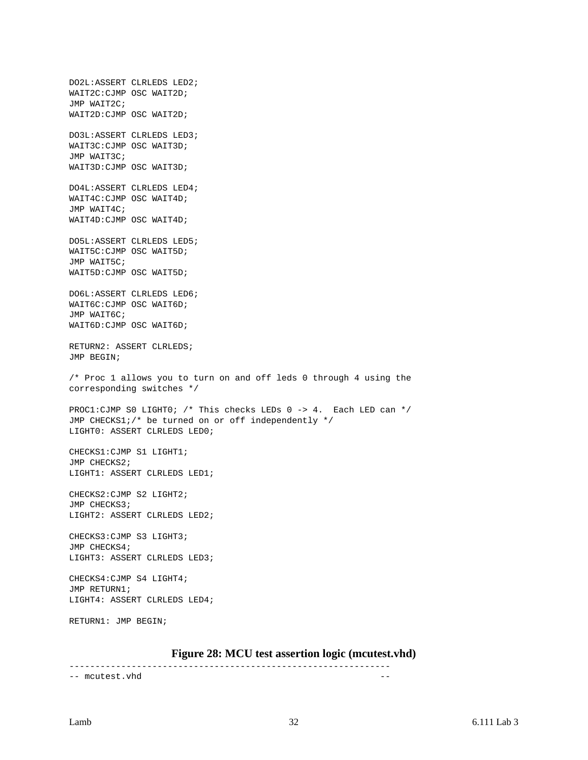DO2L:ASSERT CLRLEDS LED2; WAIT2C:CJMP OSC WAIT2D; JMP WAIT2C; WAIT2D:CJMP OSC WAIT2D; DO3L:ASSERT CLRLEDS LED3; WAIT3C:CJMP OSC WAIT3D; JMP WAIT3C; WAIT3D:CJMP OSC WAIT3D; DO4L:ASSERT CLRLEDS LED4; WAIT4C:CJMP OSC WAIT4D; JMP WAIT4C; WAIT4D:CJMP OSC WAIT4D; DO5L:ASSERT CLRLEDS LED5; WAIT5C:CJMP OSC WAIT5D; JMP WAIT5C; WAIT5D:CJMP OSC WAIT5D; DO6L:ASSERT CLRLEDS LED6; WAIT6C:CJMP OSC WAIT6D; JMP WAIT6C; WAIT6D:CJMP OSC WAIT6D; RETURN2: ASSERT CLRLEDS; JMP BEGIN; /\* Proc 1 allows you to turn on and off leds 0 through 4 using the corresponding switches \*/ PROC1:CJMP S0 LIGHT0; /\* This checks LEDs 0 -> 4. Each LED can \*/ JMP CHECKS1;/\* be turned on or off independently \*/ LIGHT0: ASSERT CLRLEDS LED0; CHECKS1:CJMP S1 LIGHT1; JMP CHECKS2; LIGHT1: ASSERT CLRLEDS LED1; CHECKS2:CJMP S2 LIGHT2; JMP CHECKS3; LIGHT2: ASSERT CLRLEDS LED2; CHECKS3:CJMP S3 LIGHT3; JMP CHECKS4; LIGHT3: ASSERT CLRLEDS LED3; CHECKS4:CJMP S4 LIGHT4; JMP RETURN1; LIGHT4: ASSERT CLRLEDS LED4; RETURN1: JMP BEGIN;

#### **Figure 28: MCU test assertion logic (mcutest.vhd)**

<span id="page-31-0"></span>-------------------------------------------------------------- -- mcutest.vhd --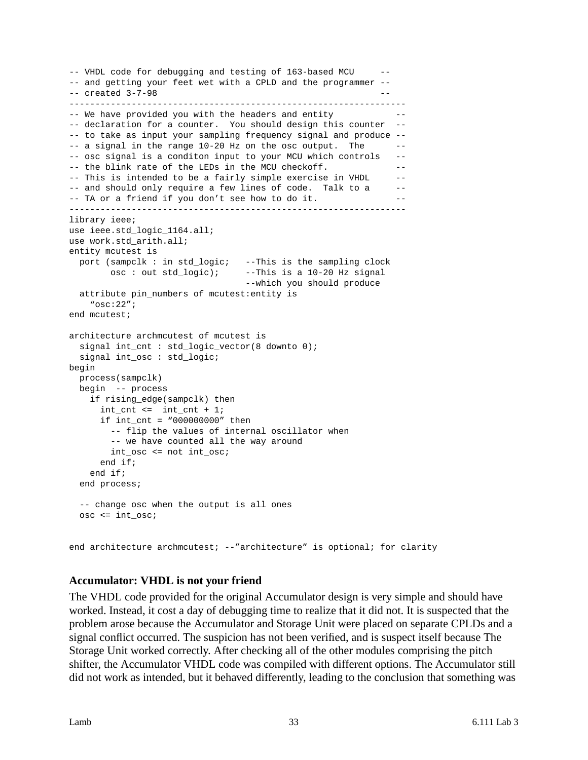```
-- VHDL code for debugging and testing of 163-based MCU --
-- and getting your feet wet with a CPLD and the programmer --
-- created 3-7-98 ------------------------------------------------------------------
-- We have provided you with the headers and entity
-- declaration for a counter. You should design this counter --
-- to take as input your sampling frequency signal and produce --
- a signal in the range 10-20 Hz on the osc output. The --- osc signal is a conditon input to your MCU which controls --
-- the blink rate of the LEDs in the MCU checkoff.
-- This is intended to be a fairly simple exercise in VHDL --
-- and should only require a few lines of code. Talk to a --
-- TA or a friend if you don't see how to do it.
-----------------------------------------------------------------
library ieee;
use ieee.std_logic_1164.all;
use work.std_arith.all;
entity mcutest is
  port (sampclk : in std_logic; --This is the sampling clock
        osc : out std_logic); --This is a 10-20 Hz signal
                                 --which you should produce
  attribute pin_numbers of mcutest:entity is
    "osc:22";
end mcutest;
architecture archmcutest of mcutest is
  signal int_cnt : std_logic_vector(8 downto 0);
  signal int_osc : std_logic;
begin
  process(sampclk)
  begin -- process
    if rising_edge(sampclk) then
     int_cnt \leq int_cnt + 1; if int_cnt = "000000000" then
        -- flip the values of internal oscillator when
        -- we have counted all the way around
        int_osc <= not int_osc;
      end if;
    end if;
  end process;
  -- change osc when the output is all ones
  osc <= int_osc;
end architecture archmcutest; --"architecture" is optional; for clarity
```
#### <span id="page-32-0"></span>**Accumulator: VHDL is not your friend**

The VHDL code provided for the original Accumulator design is very simple and should have worked. Instead, it cost a day of debugging time to realize that it did not. It is suspected that the problem arose because the Accumulator and Storage Unit were placed on separate CPLDs and a signal conflict occurred. The suspicion has not been verified, and is suspect itself because The Storage Unit worked correctly. After checking all of the other modules comprising the pitch shifter, the Accumulator VHDL code was compiled with different options. The Accumulator still did not work as intended, but it behaved differently, leading to the conclusion that something was